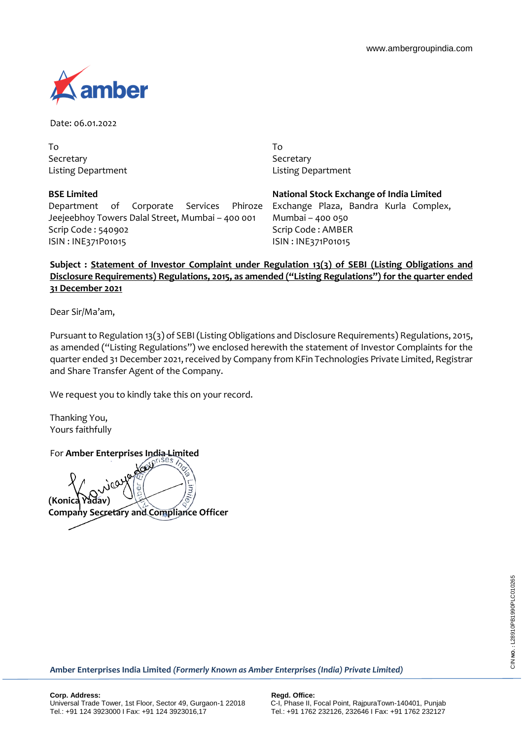

Date: 06.01.2022

To Secretary Listing Department

**BSE Limited**

Department of Corporate Services Phiroze Jeejeebhoy Towers Dalal Street, Mumbai – 400 001 Scrip Code : 540902 ISIN : INE371P01015

To **Secretary** Listing Department

**National Stock Exchange of India Limited** Exchange Plaza, Bandra Kurla Complex, Mumbai – 400 050 Scrip Code : AMBER ISIN : INE371P01015

**Subject : Statement of Investor Complaint under Regulation 13(3) of SEBI (Listing Obligations and Disclosure Requirements) Regulations, 2015, as amended ("Listing Regulations") for the quarter ended 31 December 2021**

Dear Sir/Ma'am,

Pursuant to Regulation 13(3) of SEBI (Listing Obligations and Disclosure Requirements) Regulations, 2015, as amended ("Listing Regulations") we enclosed herewith the statement of Investor Complaints for the quarter ended 31 December 2021, received by Company from KFin Technologies Private Limited, Registrar and Share Transfer Agent of the Company.

We request you to kindly take this on your record.

Thanking You, Yours faithfully

For **Amber Enterprises India Limited**

لى Ę **(Konica Yadav) Company Secretary and Compliance Officer**

**Amber Enterprises India Limited** *(Formerly Known as Amber Enterprises (India) Private Limited)*